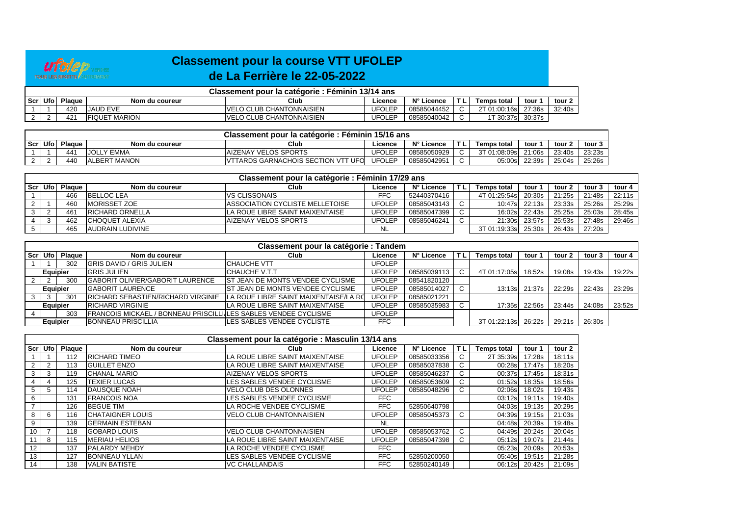

## **Classement pour la course VTT UFOLEPde La Ferrière le 22-05-2022**

| Classement pour la catégorie : Féminin 13/14 ans |        |                       |                                  |               |             |  |                     |        |        |  |  |  |
|--------------------------------------------------|--------|-----------------------|----------------------------------|---------------|-------------|--|---------------------|--------|--------|--|--|--|
| Scr Ufo                                          | Plaque | Nom du coureur        | Club                             | ∟icence       | N° Licence  |  | Temps total         | tour   | tour 2 |  |  |  |
|                                                  | 420    | <b>JAUD EVE</b>       | <b>IVELO CLUB CHANTONNAISIEN</b> | <b>JFOLEP</b> | 08585044452 |  | 2T 01:00:16s 27:36s |        | 32:40s |  |  |  |
|                                                  | 421    | <b>IFIQUET MARION</b> | <b>IVELO CLUB CHANTONNAISIEN</b> | <b>JFOLEP</b> | 08585040042 |  | 1 30:37s ⊺          | 30:37s |        |  |  |  |

|         | Classement pour la catégorie : Féminin 15/16 ans |               |                      |                                          |               |             |      |                    |        |        |        |  |  |  |
|---------|--------------------------------------------------|---------------|----------------------|------------------------------------------|---------------|-------------|------|--------------------|--------|--------|--------|--|--|--|
| Scr Ufo |                                                  | <b>Plague</b> | Nom du coureur       | Club                                     | Licence       | N° Licence  | T L. | <b>Temps total</b> | tour   | tour   | tour 3 |  |  |  |
|         |                                                  | 441           | LY EMMA<br>JOLL      | <b>AIZENAY VELOS SPORTS</b>              | <b>JFOLEP</b> | 08585050929 |      | [ 01:08:09s ]      | 21:06s | 23:40s | 23:23s |  |  |  |
|         |                                                  | 440           | <b>IALBERT MANON</b> | TARDS GARNACHOIS SECTION VTT UFO<br>IVTT | <b>JFOLEP</b> | 0858504295  |      | 05:00s             | 22:39s | 25:04s | 25:26s |  |  |  |

|         |        |                        | Classement pour la catégorie : Féminin 17/29 ans |               |             |        |                     |               |        |        |        |
|---------|--------|------------------------|--------------------------------------------------|---------------|-------------|--------|---------------------|---------------|--------|--------|--------|
| Scr Ufo | Plague | Nom du coureur         | Club                                             | Licence       | N° Licence  |        | Temps total         | tour 1        | tour 2 | tour 3 | tour 4 |
|         | 466    | <b>BELLOC LEA</b>      | <b>VS CLISSONAIS</b>                             | <b>FFC</b>    | 52440370416 |        | 4T 01:25:54s        | 20:30s        | 21:25s | 21:48s | 22:11s |
|         | 460    | <b>MORISSET ZOE</b>    | <b>IASSOCIATION CYCLISTE MELLETOISE</b>          | <b>UFOLEP</b> | 08585043143 | C      |                     | 10:47s 22:13s | 23:33s | 25:26s | 25:29s |
|         | 461    | <b>RICHARD ORNELLA</b> | LA ROUE LIBRE SAINT MAIXENTAISE                  | UFOLEP        | 08585047399 | C      |                     | 16:02s 22:43s | 25:25s | 25:03s | 28:45s |
|         | 462    | <b>CHOQUET ALEXIA</b>  | <b>AIZENAY VELOS SPORTS</b>                      | UFOLEP        | 08585046241 | $\sim$ |                     | 21:30s 23:57s | 25:53s | 27:48s | 29:46s |
|         | 465    | AUDRAIN LUDIVINE       |                                                  |               |             |        | 3T 01:19:33s 25:30s |               | 26:43s | 27:20s |        |

|         |                 |                 |                                                                 | <b>Classement pour la catégorie : Tandem</b> |               |             |    |                     |        |        |        |        |
|---------|-----------------|-----------------|-----------------------------------------------------------------|----------------------------------------------|---------------|-------------|----|---------------------|--------|--------|--------|--------|
| Scr Ufo |                 | Plague          | Nom du coureur                                                  | Club                                         | Licence       | N° Licence  |    | <b>Temps total</b>  | tour 1 | tour 2 | tour   | tour 4 |
|         |                 | 302             | <b>GRIS DAVID / GRIS JULIEN</b>                                 | <b>CHAUCHE VTT</b>                           | UFOLEP        |             |    |                     |        |        |        |        |
|         | <b>Equipier</b> |                 | <b>GRIS JULIEN</b>                                              | <b>CHAUCHE V.T.T</b>                         | UFOLEP        | 08585039113 | C. | 4T 01:17:05s        | 18:52s | 19:08s | 19:43s | 19:22s |
|         |                 | 300             | <b>GABORIT OLIVIER/GABORIT LAURENCE</b>                         | <b>IST JEAN DE MONTS VENDEE CYCLISME</b>     | <b>UFOLEP</b> | 08541820120 |    |                     |        |        |        |        |
|         | <b>Equipier</b> |                 | <b>GABORIT LAURENCE</b>                                         | <b>IST JEAN DE MONTS VENDEE CYCLISME</b>     | <b>UFOLEP</b> | 08585014027 |    | 13:13s              | 21:37s | 22:29s | 22:43s | 23:29s |
|         |                 | 30 <sup>1</sup> | <b>IRICHARD SEBASTIEN/RICHARD VIRGINIE</b>                      | LA ROUE LIBRE SAINT MAIXENTAISE/LA RO        | <b>UFOLEP</b> | 08585021221 |    |                     |        |        |        |        |
|         | <b>Equipier</b> |                 | <b>RICHARD VIRGINIE</b>                                         | LA ROUE LIBRE SAINT MAIXENTAISE              | <b>UFOLEP</b> | 08585035983 |    | 17:35sl             | 22:56s | 23:44s | 24:08s | 23:52s |
|         |                 | 303             | FRANCOIS MICKAEL / BONNEAU PRISCILLIJLES SABLES VENDEE CYCLISME |                                              | UFOLEP        |             |    |                     |        |        |        |        |
|         | <b>Equipier</b> |                 | <b>BONNEAU PRISCILLIA</b>                                       | LES SABLES VENDEE CYCLISTE                   | <b>FFC</b>    |             |    | 3T 01:22:13s 26:22s |        | 29:21s | 26:30s |        |

|       |                |        |                         | Classement pour la catégorie : Masculin 13/14 ans |               |             |    |                    |        |        |
|-------|----------------|--------|-------------------------|---------------------------------------------------|---------------|-------------|----|--------------------|--------|--------|
| Scr l | Ufo            | Plaque | Nom du coureur          | Club                                              | Licence       | N° Licence  | ΤL | <b>Temps total</b> | tour 1 | tour 2 |
|       |                | 112    | <b>RICHARD TIMEO</b>    | LA ROUE LIBRE SAINT MAIXENTAISE                   | <b>UFOLEP</b> | 08585033356 | C  | 2T 35:39s          | 17:28s | 18:11s |
|       | $\overline{2}$ | 113    | <b>GUILLET ENZO</b>     | LA ROUE LIBRE SAINT MAIXENTAISE                   | <b>UFOLEP</b> | 08585037838 | U  | 00:28s             | 17:47s | 18:20s |
| 3     | 3              | 119    | <b>CHANAL MARIO</b>     | <b>AIZENAY VELOS SPORTS</b>                       | <b>UFOLEP</b> | 08585046237 | C. | 00:37s             | 17:45s | 18:31s |
|       | 4              | 125    | <b>TEXIER LUCAS</b>     | LES SABLES VENDEE CYCLISME                        | <b>UFOLEP</b> | 08585053609 | U  | 01:52s             | 18:35s | 18:56s |
|       | 5              | 114    | <b>IDAUSQUE NOAH</b>    | <b>VELO CLUB DES OLONNES</b>                      | <b>UFOLEP</b> | 08585048296 | C  | 02:06s             | 18:02s | 19:43s |
| 6     |                | 131    | <b>FRANCOIS NOA</b>     | LES SABLES VENDEE CYCLISME                        | FFC           |             |    | 03:12s             | 19:11s | 19:40s |
|       |                | 126    | <b>BEGUE TIM</b>        | LA ROCHE VENDEE CYCLISME                          | <b>FFC</b>    | 52850640798 |    | 04:03s             | 19:13s | 20:29s |
|       | 6              | 116    | <b>CHATAIGNER LOUIS</b> | <b>VELO CLUB CHANTONNAISIEN</b>                   | <b>UFOLEP</b> | 08585045373 | C  | 04:39s             | 19:15s | 21:03s |
| 9     |                | 139    | <b>IGERMAIN ESTEBAN</b> |                                                   | <b>NL</b>     |             |    | 04:48s             | 20:39s | 19:48s |
| 10    |                | 118    | <b>GOBARD LOUIS</b>     | IVELO CLUB CHANTONNAISIEN                         | <b>UFOLEP</b> | 08585053762 | C. | 04:49s             | 20:24s | 20:04s |
|       | 8              | 115    | <b>IMERIAU HELIOS</b>   | LA ROUE LIBRE SAINT MAIXENTAISE                   | <b>UFOLEP</b> | 08585047398 | C. | 05:12s             | 19:07s | 21:44s |
| 12    |                | 137    | <b>PALARDY MEHDY</b>    | LA ROCHE VENDEE CYCLISME                          | <b>FFC</b>    |             |    | 05:23s             | 20:09s | 20:53s |
| 13    |                | 127    | <b>BONNEAU YLLAN</b>    | LES SABLES VENDEE CYCLISME                        | <b>FFC</b>    | 52850200050 |    | 05:40s             | 19:51s | 21:28s |
| 14    |                | 138    | <b>VALIN BATISTE</b>    | <b>VC CHALLANDAIS</b>                             | FFC.          | 52850240149 |    | 06:12s             | 20:42s | 21:09s |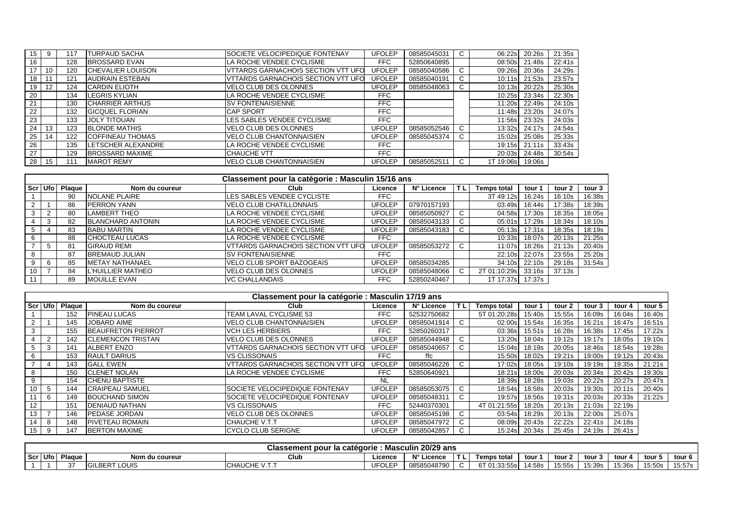| 15 |    | 117 | <b>TURPAUD SACHA</b>       | SOCIETE VELOCIPEDIQUE FONTENAY     | <b>UFOLEP</b> | 08585045031 | $\sim$<br>U | 06:22s    | 20:26s        | 21:35s |
|----|----|-----|----------------------------|------------------------------------|---------------|-------------|-------------|-----------|---------------|--------|
| 16 |    | 128 | <b>BROSSARD EVAN</b>       | LA ROCHE VENDEE CYCLISME           | <b>FFC</b>    | 52850640895 |             | 08:50s    | 21:48s        | 22:41s |
| 17 | 10 | 120 | <b>CHEVALIER LOUISON</b>   | VTTARDS GARNACHOIS SECTION VTT UFO | <b>UFOLEP</b> | 08585040586 | U           | 09:26s    | 20:36s        | 24:29s |
| 18 | 11 | 121 | <b>AUDRAIN ESTEBAN</b>     | VTTARDS GARNACHOIS SECTION VTT UFO | <b>UFOLEP</b> | 08585040191 | U           | 10:11s    | 21:53s        | 23:57s |
| 19 | 12 | 124 | <b>CARDIN ELIOTH</b>       | <b>VELO CLUB DES OLONNES</b>       | <b>UFOLEP</b> | 08585048063 |             | 10:13s    | 20:22s        | 25:30s |
| 20 |    | 134 | <b>ILEGRIS KYLIAN</b>      | LA ROCHE VENDEE CYCLISME           | <b>FFC</b>    |             |             | 10:25s    | 23:34s        | 22:30s |
| 21 |    | 130 | <b>CHARRIER ARTHUS</b>     | <b>SV FONTENAISIENNE</b>           | <b>FFC</b>    |             |             | 11:20s    | 22:49s        | 24:10s |
| 22 |    | 132 | <b>GICQUEL FLORIAN</b>     | <b>CAP SPORT</b>                   | <b>FFC</b>    |             |             | 11:48s    | 23:20s        | 24:07s |
| 23 |    | 133 | <b>JOLY TITOUAN</b>        | LES SABLES VENDEE CYCLISME         | <b>FFC</b>    |             |             | 11:56s    | 23:32s        | 24:03s |
| 24 | 13 | 123 | <b>BLONDE MATHIS</b>       | <b>VELO CLUB DES OLONNES</b>       | <b>UFOLEP</b> | 08585052546 | ◡           | 13:32s    | 24:17s        | 24:54s |
| 25 | 14 | 122 | <b>COFFINEAU THOMAS</b>    | <b>VELO CLUB CHANTONNAISIEN</b>    | <b>UFOLEP</b> | 08585045374 | U           | 15:02s    | 25:08s        | 25:33s |
| 26 |    | 135 | <b>ILETSCHER ALEXANDRE</b> | LA ROCHE VENDEE CYCLISME           | <b>FFC</b>    |             |             |           | 19:15s 21:11s | 33:43s |
| 27 |    | 129 | <b>BROSSARD MAXIME</b>     | <b>ICHAUCHE VTT</b>                | <b>FFC</b>    |             |             | 20:03s    | 24:48s        | 30:54s |
| 28 | 15 | 111 | <b>MAROT REMY</b>          | <b>VELO CLUB CHANTONNAISIEN</b>    | <b>UFOLEP</b> | 08585052511 | U           | 1T 19:06s | 19:06s        |        |

|                 |                |               |                          | Classement pour la catégorie : Masculin 15/16 ans |               |             |                    |        |        |        |
|-----------------|----------------|---------------|--------------------------|---------------------------------------------------|---------------|-------------|--------------------|--------|--------|--------|
|                 | Scr Ufo        | <b>Plaque</b> | Nom du coureur           | Club                                              | Licence       | N° Licence  | <b>Temps total</b> | tour   | tour 2 | tour 3 |
|                 |                | 90            | <b>NOLANE PLAIRE</b>     | LES SABLES VENDEE CYCLISTE                        | FFC           |             | 3T 49:12s          | 16:24s | 16:10s | 16:38s |
|                 |                | 86            | <b>PERRON YANN</b>       | <b>VELO CLUB CHATILLONNAIS</b>                    | <b>UFOLEP</b> | 07970157193 | 03:49s             | 16:44s | 17:38s | 18:39s |
|                 | $\overline{2}$ | 80            | <b>LAMBERT THEO</b>      | LA ROCHE VENDEE CYCLISME                          | <b>UFOLEP</b> | 08585050927 | 04:58s             | 17:30s | 18:35s | 18:05s |
|                 | 3              | 82            | <b>BLANCHARD ANTONIN</b> | LA ROCHE VENDEE CYCLISME                          | <b>UFOLEP</b> | 08585043133 | 05:01s             | 17:29s | 18:34s | 18:10s |
|                 |                | 83            | <b>BABU MARTIN</b>       | LA ROCHE VENDEE CYCLISME                          | UFOLEP        | 08585043183 | 05:13s             | 17:31s | 18:35s | 18:19s |
|                 |                | 88            | <b>CHOCTEAU LUCAS</b>    | LA ROCHE VENDEE CYCLISME                          | FFC           |             | 10:33s             | 18:07s | 20:13s | 21:25s |
|                 |                | 81            | <b>GIRAUD REMI</b>       | <b>VTTARDS GARNACHOIS SECTION VTT UFO</b>         | UFOLEP        | 08585053272 | 11:07s             | 18:26s | 21:13s | 20:40s |
| 8               |                | 87            | <b>BREMAUD JULIAN</b>    | <b>SV FONTENAISIENNE</b>                          | FFC           |             | 22:10s             | 22:07s | 23:55s | 25:20s |
|                 | 6              | 85            | <b>IMETAY NATHANAEL</b>  | <b>VELO CLUB SPORT BAZOGEAIS</b>                  | <b>UFOLEP</b> | 08585034285 | 34:10s             | 22:10s | 29:18s | 31:54s |
| 10 <sup>°</sup> |                | 84            | <b>L'HUILLIER MATHEO</b> | <b>VELO CLUB DES OLONNES</b>                      | <b>UFOLEP</b> | 08585048066 | 2T 01:10:29s       | 33:16s | 37:13s |        |
|                 |                | 89            | <b>MOUILLE EVAN</b>      | <b>VC CHALLANDAIS</b>                             | <b>FFC</b>    | 52850240467 | 1T 17:37s          | 17:37s |        |        |

|                 |                |                    |                           | Classement pour la catégorie : Masculin 17/19 ans |               |             |           |                    |        |        |        |        |        |
|-----------------|----------------|--------------------|---------------------------|---------------------------------------------------|---------------|-------------|-----------|--------------------|--------|--------|--------|--------|--------|
|                 |                | Scr   Ufo   Plaque | Nom du coureur            | Club                                              | Licence       | N° Licence  | <b>TL</b> | <b>Temps total</b> | tour   | tour 2 | tour 3 | tour 4 | tour 5 |
|                 |                | 152                | <b>IPINEAU LUCAS</b>      | TEAM LAVAL CYCLISME 53                            | FFC           | 52532750682 |           | 5T 01:20:28s       | 15:40s | 15:55s | 16:09s | 16:04s | 16:40s |
|                 |                | 145                | <b>JOBARD AIME</b>        | <b>VELO CLUB CHANTONNAISIEN</b>                   | <b>UFOLEP</b> | 08585041914 | C         | 02:00s             | 15:54s | 16:35s | 16:21s | 16:47s | 16:51s |
| 3               |                | 155                | <b>BEAUFRETON PIERROT</b> | <b>VCH LES HERBIERS</b>                           | FFC           | 52850260317 |           | 03:36s             | 15:51s | 16:28s | 16:38s | 17:45s | 17:22s |
|                 | $\overline{2}$ | 142                | <b>ICLEMENCON TRISTAN</b> | <b>VELO CLUB DES OLONNES</b>                      | <b>UFOLEP</b> | 08585044948 | C         | 13:20s             | 18:04s | 19:12s | 19:17s | 18:05s | 19:10s |
|                 | 3              | 141                | <b>ALBERT ENZO</b>        | <b>VTTARDS GARNACHOIS SECTION VTT UFO</b>         | <b>UFOLEP</b> | 08585040657 | C         | 15:04s             | 18:19s | 20:05s | 18:46s | 18:54s | 19:28s |
|                 |                | 153                | <b>RAULT DARIUS</b>       | <b>VS CLISSONAIS</b>                              | FFC           | ffc         |           | 15:50s             | 18:02s | 19:21s | 19:00s | 19:12s | 20:43s |
|                 |                | 143                | <b>GALL EWEN</b>          | VTTARDS GARNACHOIS SECTION VTT UFO                | <b>JFOLEP</b> | 08585046226 | C         | 17:02s             | 18:05s | 19:10s | 19:19s | 19:35s | 21:21s |
|                 |                | 150                | <b>ICLENET NOLAN</b>      | LA ROCHE VENDEE CYCLISME                          | <b>FFC</b>    | 52850640921 |           | 18:21s             | 18:00s | 20:03s | 20:34s | 20:42s | 19:30s |
| 9               |                | 154                | <b>CHENU BAPTISTE</b>     |                                                   | <b>NL</b>     |             |           | 18:39s             | 18:28s | 19:03s | 20:22s | 20:27s | 20:47s |
| 10              | -5             | 144                | <b>CRAIPEAU SAMUEL</b>    | SOCIETE VELOCIPEDIQUE FONTENAY                    | <b>UFOLEP</b> | 08585053075 | C         | 18:54sl            | 18:58s | 20:03s | 19:30s | 20:11s | 20:40s |
|                 | 6              | 149                | <b>BOUCHAND SIMON</b>     | SOCIETE VELOCIPEDIQUE FONTENAY                    | <b>UFOLEP</b> | 08585048311 | C         | 19:57sl            | 18:56s | 19:31s | 20:03s | 20:33s | 21:22s |
| 12              |                | 151                | <b>IDENIAUD NATHAN</b>    | <b>VS CLISSONAIS</b>                              | FFC           | 52440370301 |           | 4T 01:21:55s       | 18:20s | 20:13s | 21:03s | 22:19s |        |
| 13              |                | 146                | <b>IPEDASE JORDAN</b>     | <b>VELO CLUB DES OLONNES</b>                      | <b>UFOLEP</b> | 08585045198 | C         | 03:54s             | 18:29s | 20:13s | 22:00s | 25:07s |        |
| 14              | 8              | 148                | <b>PIVETEAU ROMAIN</b>    | <b>CHAUCHE V.T.T</b>                              | <b>UFOLEP</b> | 08585047972 | C         | 08:09s             | 20:43s | 22:22s | 22:41s | 24:18s |        |
| 15 <sup>1</sup> | 9              | 147                | <b>BERTON MAXIME</b>      | <b>CYCLO CLUB SERIGNE</b>                         | <b>UFOLEP</b> | 08585042857 |           | 15:24sl            | 20:34s | 25:45s | 24:19s | 26:41s |        |

|     |                  |        |                              | Classement pour la catégorie : Masculin 20/29 ans |                       |                            |                          |                                 |       |        |          |        |        |                    |
|-----|------------------|--------|------------------------------|---------------------------------------------------|-----------------------|----------------------------|--------------------------|---------------------------------|-------|--------|----------|--------|--------|--------------------|
| Scr | $116 -$<br>טוט ו | Plague | Nom du coureur               | Club                                              | Licence               | $N^{\circ}$ Lio<br>Licence | $\overline{\phantom{0}}$ | Temps tota.                     | tour  | tour   | ∴ tour ⊺ | tour   | tour 5 | tour⊹<br>ъ.        |
|     |                  |        | $\sim$ 110<br>LBER1<br>LUUIS | $11 - 7$<br>CHAUCHE<br>.                          | $1 - 21 - 1$<br>טו שנ | 0858504879                 |                          | CTA.22.55.<br>ဘေဒ၊<br>בככבו טוס | 4:58s | 15:55s | 15:39s   | 15:36s | 15:50s | 15.57c<br>ن ، ن. ب |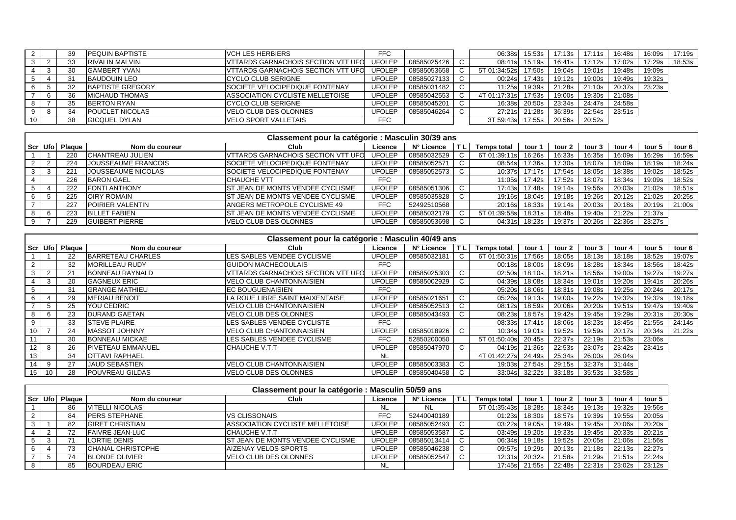|   | 39 | <b>IPEQUIN BAPTISTE</b> | <b>VCH LES HERBIERS</b>                    | FFC.          |             | 06:38s        | 15:53s        | 17:13s | 17:11s | 16:48s | 16:09s | 17:19s |
|---|----|-------------------------|--------------------------------------------|---------------|-------------|---------------|---------------|--------|--------|--------|--------|--------|
|   |    | <b>RIVALIN MALVIN</b>   | VTTARDS GARNACHOIS SECTION VTT UFO         | <b>UFOLEP</b> | 08585025426 | 08:41s        | 15:19s        | 16:41s | 17:12s | 17:02s | 17:29s | 18:53s |
|   | 30 | <b>GAMBERT YVAN</b>     | <b>IVTTARDS GARNACHOIS SECTION VTT UFO</b> | UFOLEP        | 08585053658 | 5T 01:34:52sl | 17:50s        | 19:04s | 19:01s | 19:48s | 19:09s |        |
|   | 31 | <b>BAUDOUIN LEO</b>     | ICYCLO CLUB SERIGNE                        | <b>UFOLEP</b> | 08585027133 | 00:24s        | 17:43s        | 19:12s | 19:00s | 19:49s | 19:32s |        |
|   | 32 | BAPTISTE GREGORY        | <b>ISOCIETE VELOCIPEDIQUE FONTENAY</b>     | <b>UFOLEP</b> | 08585031482 | 11:25s        | 19:39s        | 21:28s | 21:10s | 20:37s | 23:23s |        |
| b | 36 | <b>MICHAUD THOMAS</b>   | ASSOCIATION CYCLISTE MELLETOISE            | UFOLEP        | 08585042553 | 4T 01:17:31s  | 17:53s        | 19:00s | 19:30s | 21:08s |        |        |
|   |    | <b>BERTON RYAN</b>      | ICYCLO CLUB SERIGNE                        | <b>UFOLEP</b> | 08585045201 |               | 16:38s 20:50s | 23:34s | 24:47s | 24:58s |        |        |
| 8 |    | <b>POUCLET NICOLAS</b>  | VELO CLUB DES OLONNES                      | UFOLEP        | 08585046264 |               | 27:21s 21:28s | 36:39s | 22:54s | 23:51s |        |        |
|   | 38 | <b>GICQUEL DYLAN</b>    | <b>VELO SPORT VALLETAIS</b>                | <b>FFC</b>    |             | 3T 59:43s     | 17:55s        | 20:56s | 20:52s |        |        |        |

|     |                    |                          | Classement pour la catégorie : Masculin 30/39 ans |               |             |               |        |        |        |        |        |        |
|-----|--------------------|--------------------------|---------------------------------------------------|---------------|-------------|---------------|--------|--------|--------|--------|--------|--------|
|     | Scr   Ufo   Plaque | Nom du coureur           | Club                                              | Licence       | N° Licence  | Temps total   | tour 1 | tour 2 | tour 3 | tour 4 | tour 5 | tour 6 |
|     | 220                | <b>ICHANTREAU JULIEN</b> | <b>VITARDS GARNACHOIS SECTION VTT UFO</b>         | <b>UFOLEP</b> | 08585032529 | 6T 01:39:11sl | 16:26s | 16:33s | 16:35s | 16:09s | 16:29s | 16:59s |
|     | 224                | JOUSSEAUME FRANCOIS      | <b>SOCIETE VELOCIPEDIQUE FONTENAY</b>             | <b>UFOLEP</b> | 08585052571 | 08:54s        | 17:36s | 17:30s | 18:07s | 18:09s | 18:19s | 18:24s |
| -3  | 221                | JOUSSEAUME NICOLAS       | <b>SOCIETE VELOCIPEDIQUE FONTENAY</b>             | <b>UFOLEP</b> | 08585052573 | 10:37s        | 17:17s | 17:54s | 18:05s | 18:38s | 19:02s | 18:52s |
|     | 226                | <b>BARON GAEL</b>        | <b>CHAUCHE VTT</b>                                | <b>FFC</b>    |             | 11:05s        | 17:42s | 17:52s | 18:07s | 18:34s | 19:09s | 18:52s |
|     | 222                | <b>FONTI ANTHONY</b>     | IST JEAN DE MONTS VENDEE CYCLISME                 | <b>UFOLEP</b> | 08585051306 | 17:43sl       | 17:48s | 19:14s | 19:56s | 20:03s | 21:02s | 18:51s |
|     | 225                | <b>OIRY ROMAIN</b>       | <b>IST JEAN DE MONTS VENDEE CYCLISME</b>          | <b>UFOLEP</b> | 08585035828 | 19:16s        | 18:04s | 19:18s | 19:26s | 20:12s | 21:02s | 20:25s |
|     | 227                | POIRIER VALENTIN         | <b>ANGERS METROPOLE CYCLISME 49</b>               | <b>FFC</b>    | 52492510568 | 20:16s        | 18:33s | 19:14s | 20:03s | 20:18s | 20:19s | 21:00s |
| - 6 | 223                | <b>BILLET FABIEN</b>     | <b>ST JEAN DE MONTS VENDEE CYCLISME</b>           | <b>UFOLEP</b> | 08585032179 | 5T 01:39:58s  | 18:31s | 18:48s | 19:40s | 21:22s | 21:37s |        |
|     | 229                | <b>GUIBERT PIERRE</b>    | VELO CLUB DES OLONNES                             | <b>UFOLEP</b> | 08585053698 | 04:31s        | 18:23s | 19:37s | 20:26s | 22:36s | 23:27s |        |

| Classement pour la catégorie : Masculin 40/49 ans |    |                |                          |                                           |               |             |    |                    |        |        |        |        |        |        |
|---------------------------------------------------|----|----------------|--------------------------|-------------------------------------------|---------------|-------------|----|--------------------|--------|--------|--------|--------|--------|--------|
|                                                   |    | Scr Ufo Plaque | Nom du coureur           | Club                                      | Licence       | N° Licence  | ΠL | <b>Temps total</b> | tour 1 | tour 2 | tour 3 | tour 4 | tour 5 | tour 6 |
|                                                   |    | 22             | BARRETEAU CHARLES        | LES SABLES VENDEE CYCLISME                | <b>UFOLEP</b> | 08585032181 |    | 6T 01:50:31s       | 17:56s | 18:05s | 18:13s | 18:18s | 18:52s | 19:07s |
|                                                   |    | 32             | <b>MORILLEAU RUDY</b>    | <b>GUIDON MACHECOULAIS</b>                | <b>FFC</b>    |             |    | 00:18s             | 18:00s | 18:09s | 18:28s | 18:34s | 18:56s | 18:42s |
| 3                                                 |    | 21             | <b>BONNEAU RAYNALD</b>   | <b>VTTARDS GARNACHOIS SECTION VTT UFO</b> | <b>UFOLEP</b> | 08585025303 |    | 02:50s             | 18:10s | 18:21s | 18:56s | 19:00s | 19:27s | 19:27s |
|                                                   | 3  | 20             | <b>GAGNEUX ERIC</b>      | VELO CLUB CHANTONNAISIEN                  | <b>UFOLEP</b> | 08585002929 |    | 04:39sl            | 18:08s | 18:34s | 19:01s | 19:20s | 19:41s | 20:26s |
|                                                   |    | 31             | <b>GRANGE MATHIEU</b>    | <b>IEC BOUGUENAISIEN</b>                  | FFC           |             |    | 05:20s             | 18:06s | 18:31s | 19:08s | 19:25s | 20:24s | 20:17s |
| 6                                                 |    | 29             | <b>MERIAU BENOIT</b>     | LA ROUE LIBRE SAINT MAIXENTAISE           | <b>UFOLEP</b> | 08585021651 |    | 05:26s             | 19:13s | 19:00s | 19:22s | 19:32s | 19:32s | 19:18s |
|                                                   |    | 25             | YOU CEDRIC               | IVELO CLUB CHANTONNAISIEN                 | <b>UFOLEP</b> | 08585052513 |    | 08:12sl            | 18:59s | 20:06s | 20:20s | 19:51s | 19:47s | 19:40s |
|                                                   |    | 23             | <b>DURAND GAETAN</b>     | VELO CLUB DES OLONNES                     | <b>UFOLEP</b> | 08585043493 |    | 08:23s             | 18:57s | 19:42s | 19:45s | 19:29s | 20:31s | 20:30s |
| 9                                                 |    | 33             | <b>ISTEVE PLAIRE</b>     | <b>ILES SABLES VENDEE CYCLISTE</b>        | <b>FFC</b>    |             |    | 08:33sl            | 17:41s | 18:06s | 18:23s | 18:45s | 21:55s | 24:14s |
| 10                                                |    | 24             | <b>MASSOT JOHNNY</b>     | IVELO CLUB CHANTONNAISIEN                 | <b>UFOLEP</b> | 08585018926 |    | 10:34s             | 19:01s | 19:52s | 19:59s | 20:17s | 20:34s | 21:22s |
| 44                                                |    | 30             | <b>BONNEAU MICKAE</b>    | <b>ILES SABLES VENDEE CYCLISME</b>        | FFC           | 52850200050 |    | 5T 01:50:40s       | 20:45s | 22:37s | 22:19s | 21:53s | 23:06s |        |
| 12                                                |    | 26             | <b>PIVETEAU EMMANUEL</b> | ICHAUCHE V.T.T                            | <b>UFOLEP</b> | 08585047970 |    | 04:19sl            | 21:36s | 22:53s | 23:07s | 23:42s | 23:41s |        |
| 13                                                |    | 34             | <b>OTTAVI RAPHAEL</b>    |                                           | <b>NL</b>     |             |    | 4T 01:42:27s       | 24:49s | 25:34s | 26:00s | 26:04s |        |        |
| 14                                                | 9  | 27             | <b>JAUD SEBASTIEN</b>    | <b>IVELO CLUB CHANTONNAISIEN</b>          | <b>UFOLEP</b> | 08585003383 |    | 19:03s             | 27:54s | 29:15s | 32:37s | 31:44s |        |        |
| 15                                                | 10 | 28             | <b>POUVREAU GILDAS</b>   | VELO CLUB DES OLONNES                     | <b>UFOLEP</b> | 08585040458 |    | 33:04s             | 32:22s | 33:18s | 35:53s | 33:58s |        |        |

|         | Classement pour la catégorie : Masculin 50/59 ans |        |                          |                                          |               |             |    |                    |        |        |        |        |        |
|---------|---------------------------------------------------|--------|--------------------------|------------------------------------------|---------------|-------------|----|--------------------|--------|--------|--------|--------|--------|
| Scr Ufo |                                                   | Plague | Nom du coureur           | Club                                     | Licence       | N° Licence  | TL | <b>Temps total</b> | tour ′ | tour 2 | tour 3 | tour 4 | tour 5 |
|         |                                                   | 86     | <b>VITELLI NICOLAS</b>   |                                          | NL            | NL.         |    | 5T 01:35:43s       | 18:28s | 18:34s | 19:13s | 19:32s | 19:56s |
|         |                                                   | 84     | PERS STEPHANE            | <b>VS CLISSONAIS</b>                     | <b>FFC</b>    | 52440040189 |    | 01:23s             | 18:30s | 18:57s | 19:39s | 19:55s | 20:05s |
|         |                                                   | 82     | <b>GIRET CHRISTIAN</b>   | ASSOCIATION CYCLISTE MELLETOISE          | UFOLEP        | 08585052493 |    | 03:22s             | 19:05s | 19:49s | 19:45s | 20:06s | 20:20s |
|         |                                                   | 72     | <b>FAIVRE JEAN-LUC</b>   | ICHAUCHE V.T.T                           | <b>UFOLEP</b> | 08585053587 |    | 03:49s             | 19:20s | 19:33s | 19:45s | 20:33s | 20:21s |
|         |                                                   |        | LORTIE DENIS             | <b>IST JEAN DE MONTS VENDEE CYCLISME</b> | UFOLEP        | 08585013414 |    | 06:34s             | 19:18s | 19:52s | 20:05s | 21:06s | 21:56s |
| 6       |                                                   | 73     | <b>CHANAL CHRISTOPHE</b> | <b>AIZENAY VELOS SPORTS</b>              | UFOLEP        | 08585046238 |    | 09:57s             | 19:29s | 20:13s | 21:18s | 22:13s | 22:27s |
|         |                                                   | 74     | <b>BLONDE OLIVIER</b>    | <b>VELO CLUB DES OLONNES</b>             | <b>UFOLEP</b> | 08585052547 |    | 12:31s             | 20:32s | 21:58s | 21:29s | 21:51s | 22:24s |
| 8       |                                                   | 85     | <b>BOURDEAU ERIC</b>     |                                          | NL            |             |    | 17:45s             | 21:55s | 22:48s | 22:31s | 23:02s | 23:12s |